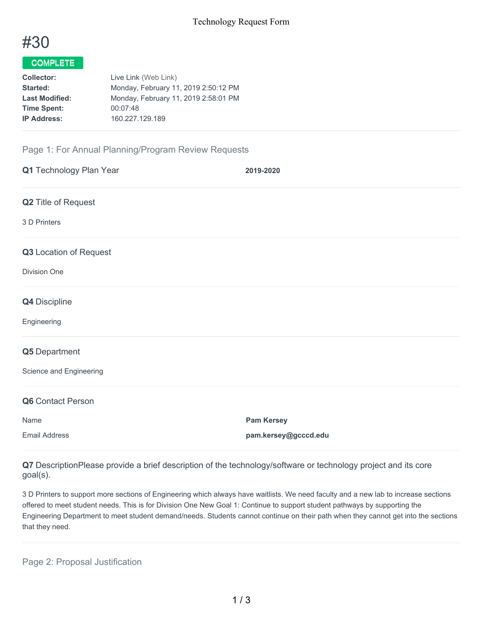

## COMPLETE

| <b>Collector:</b>     | Live Link (Web Link)                 |
|-----------------------|--------------------------------------|
| Started:              | Monday, February 11, 2019 2:50:12 PM |
| <b>Last Modified:</b> | Monday, February 11, 2019 2:58:01 PM |
| <b>Time Spent:</b>    | 00:07:48                             |
| <b>IP Address:</b>    | 160.227.129.189                      |
|                       |                                      |

## Page 1: For Annual Planning/Program Review Requests

| Q1 Technology Plan Year | 2019-2020            |
|-------------------------|----------------------|
| Q2 Title of Request     |                      |
| 3 D Printers            |                      |
| Q3 Location of Request  |                      |
| <b>Division One</b>     |                      |
| Q4 Discipline           |                      |
| Engineering             |                      |
| Q5 Department           |                      |
| Science and Engineering |                      |
| Q6 Contact Person       |                      |
| Name                    | <b>Pam Kersey</b>    |
| <b>Email Address</b>    | pam.kersey@gcccd.edu |

**Q7** DescriptionPlease provide a brief description of the technology/software or technology project and its core goal(s).

3 D Printers to support more sections of Engineering which always have waitlists. We need faculty and a new lab to increase sections offered to meet student needs. This is for Division One New Goal 1: Continue to support student pathways by supporting the Engineering Department to meet student demand/needs. Students cannot continue on their path when they cannot get into the sections that they need.

Page 2: Proposal Justification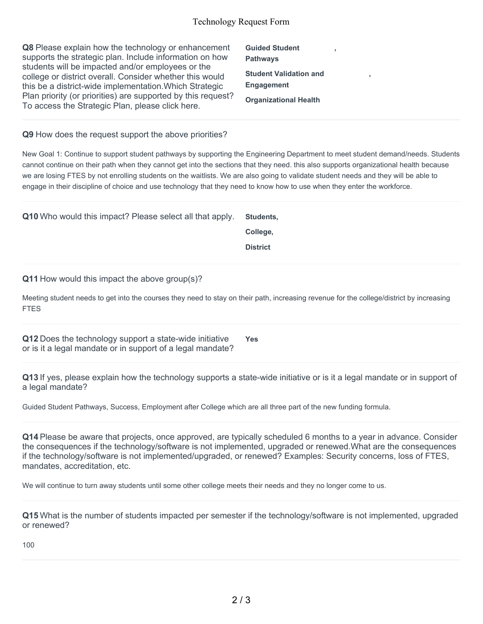| Q8 Please explain how the technology or enhancement<br>supports the strategic plan. Include information on how<br>students will be impacted and/or employees or the | <b>Guided Student</b><br><b>Pathways</b>           |  |
|---------------------------------------------------------------------------------------------------------------------------------------------------------------------|----------------------------------------------------|--|
| college or district overall. Consider whether this would<br>this be a district-wide implementation. Which Strategic                                                 | <b>Student Validation and</b><br><b>Engagement</b> |  |
| Plan priority (or priorities) are supported by this request?<br>To access the Strategic Plan, please click here.                                                    | <b>Organizational Health</b>                       |  |

**Q9** How does the request support the above priorities?

New Goal 1: Continue to support student pathways by supporting the Engineering Department to meet student demand/needs. Students cannot continue on their path when they cannot get into the sections that they need. this also supports organizational health because we are losing FTES by not enrolling students on the waitlists. We are also going to validate student needs and they will be able to engage in their discipline of choice and use technology that they need to know how to use when they enter the workforce.

| Q10 Who would this impact? Please select all that apply. | Students.       |
|----------------------------------------------------------|-----------------|
|                                                          | College.        |
|                                                          | <b>District</b> |

**Q11** How would this impact the above group(s)?

Meeting student needs to get into the courses they need to stay on their path, increasing revenue for the college/district by increasing FTES

**Q12** Does the technology support a state-wide initiative or is it a legal mandate or in support of a legal mandate? **Yes**

**Q13** If yes, please explain how the technology supports a state-wide initiative or is it a legal mandate or in support of

Guided Student Pathways, Success, Employment after College which are all three part of the new funding formula.

**Q14** Please be aware that projects, once approved, are typically scheduled 6 months to a year in advance. Consider the consequences if the technology/software is not implemented, upgraded or renewed.What are the consequences if the technology/software is not implemented/upgraded, or renewed? Examples: Security concerns, loss of FTES, mandates, accreditation, etc.

We will continue to turn away students until some other college meets their needs and they no longer come to us.

**Q15** What is the number of students impacted per semester if the technology/software is not implemented, upgraded or renewed?

100

a legal mandate?